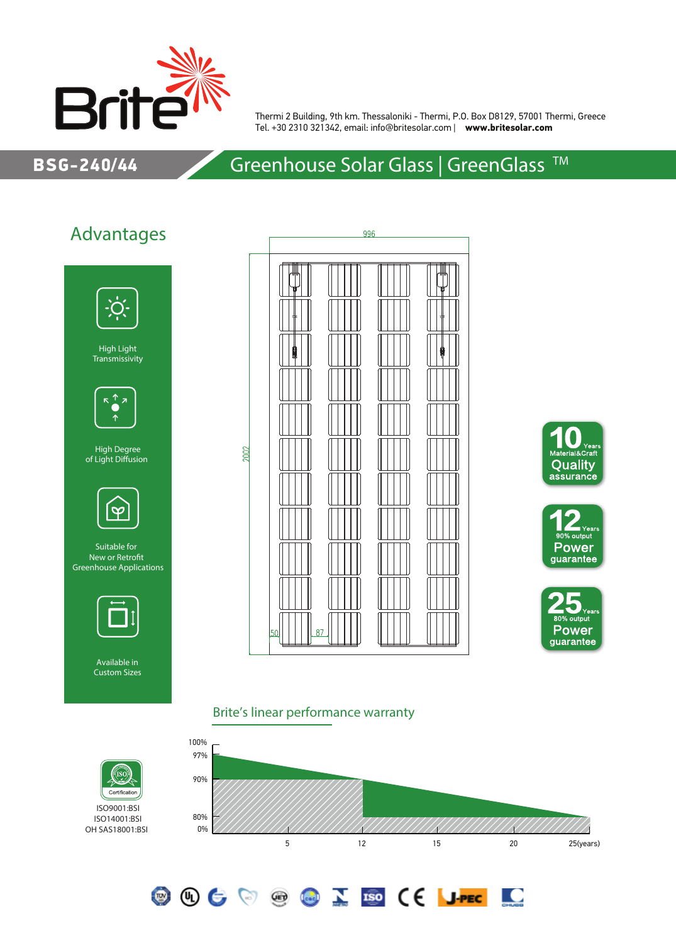

Thermi 2 Building, 9th km. Thessaloniki - Thermi, P.O. Box D8129, 57001 Thermi, Greece Tel. +30 2310 321342, email: info@britesolar.com | **www.britesolar.com**

### BSG-240/44

# Greenhouse Solar Glass | GreenGlass<sup>™</sup>

## Advantages



High Light Transmissivity



High Degree of Light Diffusion



Suitable for New or Retrofit Greenhouse Applications



Available in Custom Sizes

ISO9001:BSI ISO14001:BSI

ÍSÒ Certificatio









<u>io</u>

#### Brite's linear performance warranty

**OOCOOCOID (E JPEC**